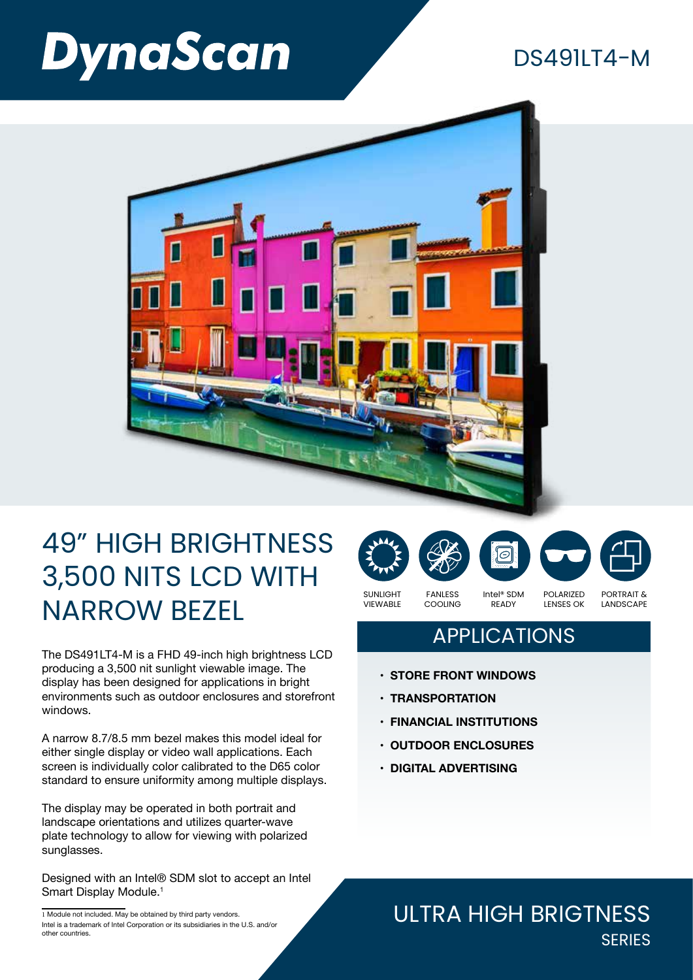# **DynaScan**

### $DS491I74-M$



## 49" HIGH BRIGHTNESS 3,500 NITS LCD WITH NARROW BEZEL

The DS491LT4-M is a FHD 49-inch high brightness LCD producing a 3,500 nit sunlight viewable image. The display has been designed for applications in bright environments such as outdoor enclosures and storefront windows.

A narrow 8.7/8.5 mm bezel makes this model ideal for either single display or video wall applications. Each screen is individually color calibrated to the D65 color standard to ensure uniformity among multiple displays.

The display may be operated in both portrait and landscape orientations and utilizes quarter-wave plate technology to allow for viewing with polarized sunglasses.

Designed with an Intel® SDM slot to accept an Intel Smart Display Module.<sup>1</sup>

COOLING

VIEWABLE

READY

PORTRAIT & LANDSCAPE

LENSES OK

### APPLICATIONS

- **• STORE FRONT WINDOWS**
- **• TRANSPORTATION**
- **• FINANCIAL INSTITUTIONS**
- **• OUTDOOR ENCLOSURES**
- **• DIGITAL ADVERTISING**

#### ULTRA HIGH BRIGTNESS **SERIES**

SUNLIGHT FANLESS Intel® SDM POLARIZED

<sup>1</sup> Module not included. May be obtained by third party vendors. Intel is a trademark of Intel Corporation or its subsidiaries in the U.S. and/or other countries.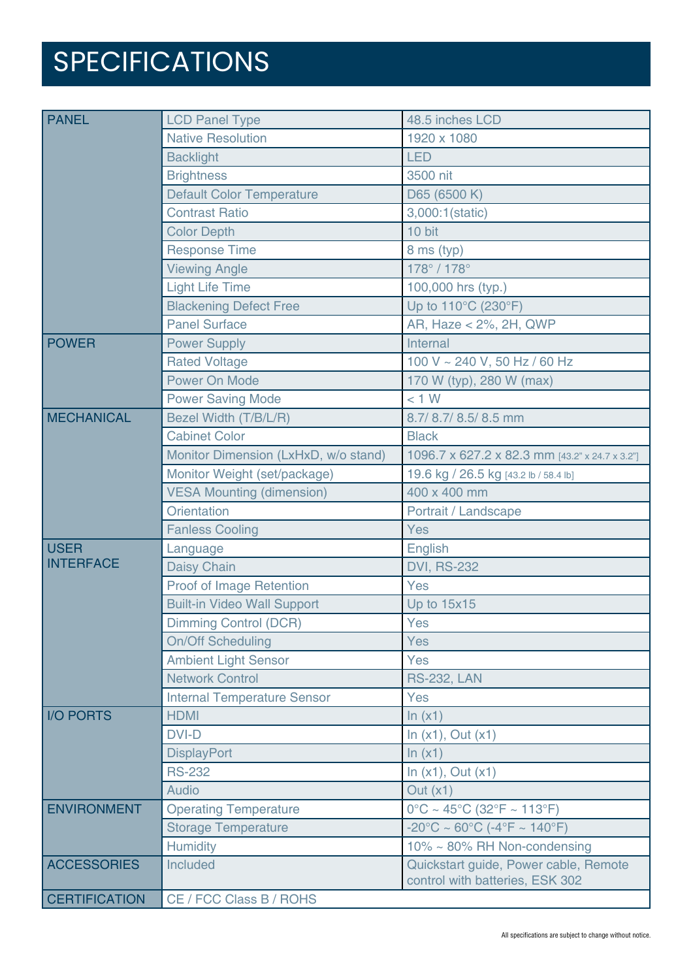## SPECIFICATIONS

| <b>PANEL</b>                    | <b>LCD Panel Type</b>                | 48.5 inches LCD                                                          |
|---------------------------------|--------------------------------------|--------------------------------------------------------------------------|
|                                 | <b>Native Resolution</b>             | 1920 x 1080                                                              |
|                                 | <b>Backlight</b>                     | <b>LED</b>                                                               |
|                                 | <b>Brightness</b>                    | 3500 nit                                                                 |
|                                 | <b>Default Color Temperature</b>     | D65 (6500 K)                                                             |
|                                 | <b>Contrast Ratio</b>                | 3,000:1(static)                                                          |
|                                 | <b>Color Depth</b>                   | 10 bit                                                                   |
|                                 | <b>Response Time</b>                 | 8 ms (typ)                                                               |
|                                 | <b>Viewing Angle</b>                 | 178° / 178°                                                              |
|                                 | <b>Light Life Time</b>               | 100,000 hrs (typ.)                                                       |
|                                 | <b>Blackening Defect Free</b>        | Up to 110°C (230°F)                                                      |
|                                 | <b>Panel Surface</b>                 | AR, Haze < 2%, 2H, QWP                                                   |
| <b>POWER</b>                    | <b>Power Supply</b>                  | Internal                                                                 |
|                                 | <b>Rated Voltage</b>                 | 100 V ~ 240 V, 50 Hz / 60 Hz                                             |
|                                 | <b>Power On Mode</b>                 | 170 W (typ), 280 W (max)                                                 |
|                                 | <b>Power Saving Mode</b>             | < 1 W                                                                    |
| <b>MECHANICAL</b>               | Bezel Width (T/B/L/R)                | 8.7/8.7/8.5/8.5 mm                                                       |
|                                 | <b>Cabinet Color</b>                 | <b>Black</b>                                                             |
|                                 | Monitor Dimension (LxHxD, w/o stand) | 1096.7 x 627.2 x 82.3 mm [43.2" x 24.7 x 3.2"]                           |
|                                 | Monitor Weight (set/package)         | 19.6 kg / 26.5 kg [43.2 lb / 58.4 lb]                                    |
|                                 | <b>VESA Mounting (dimension)</b>     | 400 x 400 mm                                                             |
|                                 | <b>Orientation</b>                   | Portrait / Landscape                                                     |
|                                 | <b>Fanless Cooling</b>               | Yes                                                                      |
| <b>USER</b><br><b>INTERFACE</b> | Language                             | English                                                                  |
|                                 | <b>Daisy Chain</b>                   | <b>DVI, RS-232</b>                                                       |
|                                 | Proof of Image Retention             | Yes                                                                      |
|                                 | <b>Built-in Video Wall Support</b>   | Up to 15x15                                                              |
|                                 | <b>Dimming Control (DCR)</b>         | Yes                                                                      |
|                                 | <b>On/Off Scheduling</b>             | Yes                                                                      |
|                                 | <b>Ambient Light Sensor</b>          | <b>Yes</b>                                                               |
|                                 | <b>Network Control</b>               | <b>RS-232, LAN</b>                                                       |
|                                 | <b>Internal Temperature Sensor</b>   | Yes                                                                      |
| <b>I/O PORTS</b>                | <b>HDMI</b>                          | ln(x1)                                                                   |
|                                 | <b>DVI-D</b>                         | In $(x1)$ , Out $(x1)$                                                   |
|                                 | <b>DisplayPort</b>                   | ln(x1)                                                                   |
|                                 | <b>RS-232</b>                        | In $(x1)$ , Out $(x1)$                                                   |
|                                 | <b>Audio</b>                         | Out $(x1)$                                                               |
| <b>ENVIRONMENT</b>              | <b>Operating Temperature</b>         | $0^{\circ}$ C ~ 45°C (32°F ~ 113°F)                                      |
|                                 | <b>Storage Temperature</b>           | $-20^{\circ}$ C ~ 60 $^{\circ}$ C (-4 $^{\circ}$ F ~ 140 $^{\circ}$ F)   |
|                                 | <b>Humidity</b>                      | 10% ~ 80% RH Non-condensing                                              |
| <b>ACCESSORIES</b>              | Included                             | Quickstart guide, Power cable, Remote<br>control with batteries, ESK 302 |
| <b>CERTIFICATION</b>            | CE / FCC Class B / ROHS              |                                                                          |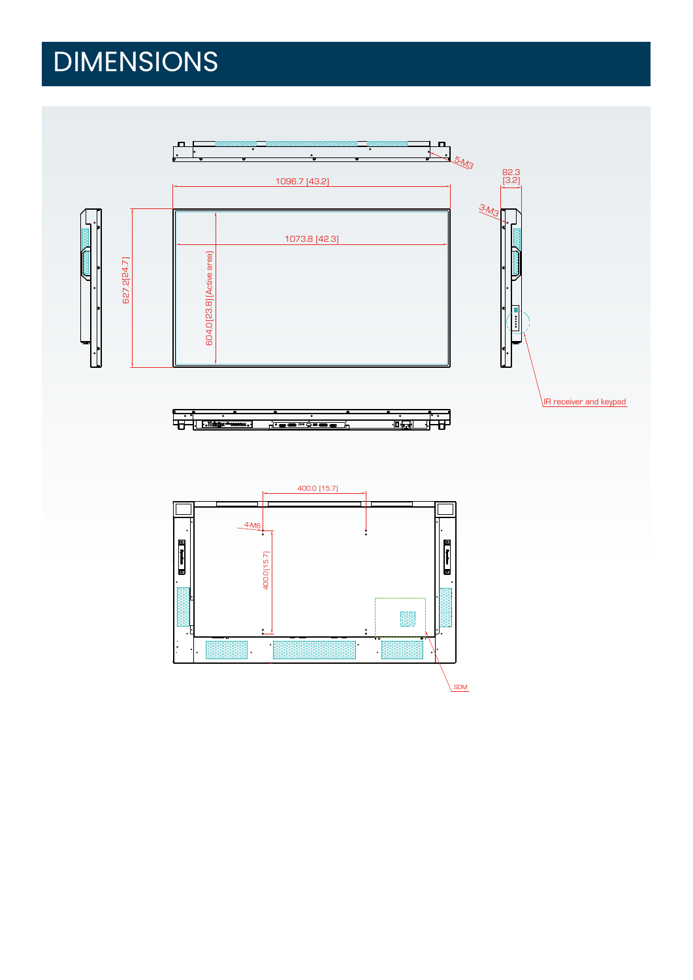## DIMENSIONS